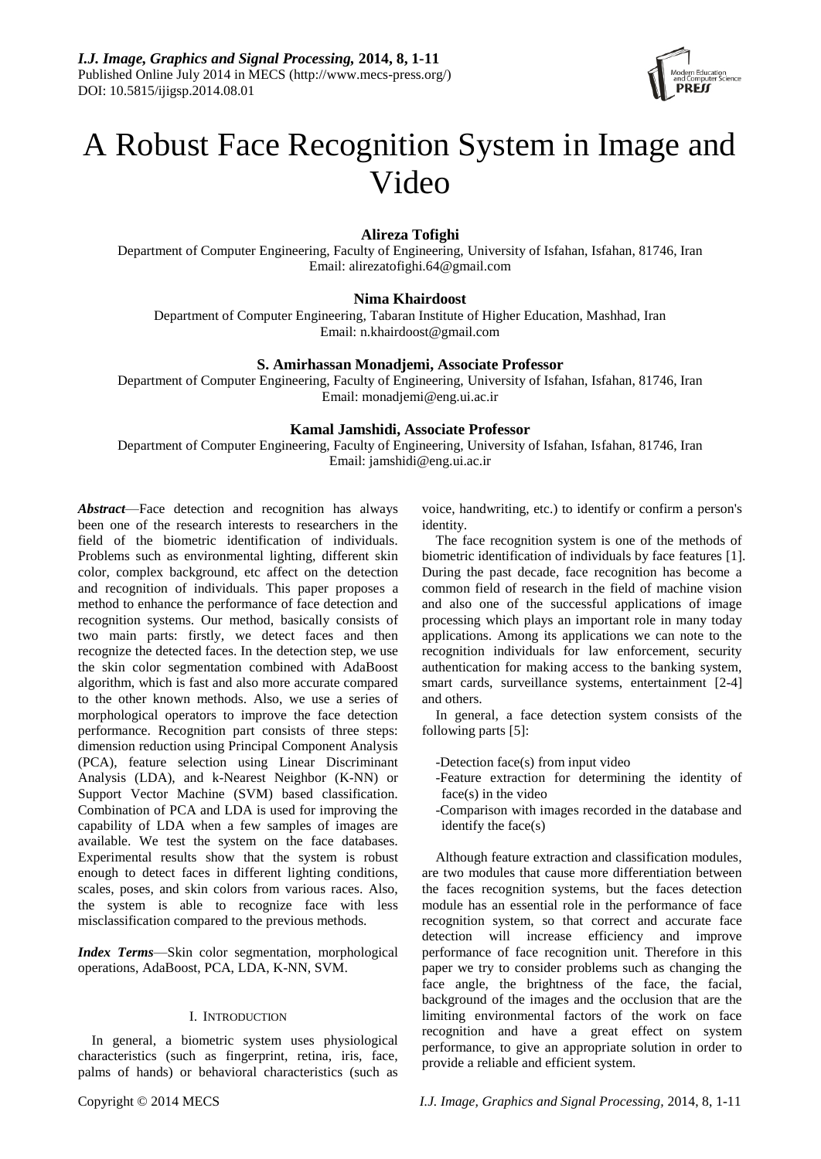

# A Robust Face Recognition System in Image and Video

# **Alireza Tofighi**

Department of Computer Engineering, Faculty of Engineering, University of Isfahan, Isfahan, 81746, Iran Email: alirezatofighi.64@gmail.com

# **Nima Khairdoost**

Department of Computer Engineering, Tabaran Institute of Higher Education, Mashhad, Iran Email: n.khairdoost@gmail.com

# **S. Amirhassan Monadjemi, Associate Professor**

Department of Computer Engineering, Faculty of Engineering, University of Isfahan, Isfahan, 81746, Iran Email: monadjemi@eng.ui.ac.ir

# **Kamal Jamshidi, Associate Professor**

Department of Computer Engineering, Faculty of Engineering, University of Isfahan, Isfahan, 81746, Iran Email: jamshidi@eng.ui.ac.ir

*Abstract*—Face detection and recognition has always been one of the research interests to researchers in the field of the biometric identification of individuals. Problems such as environmental lighting, different skin color, complex background, etc affect on the detection and recognition of individuals. This paper proposes a method to enhance the performance of face detection and recognition systems. Our method, basically consists of two main parts: firstly, we detect faces and then recognize the detected faces. In the detection step, we use the skin color segmentation combined with AdaBoost algorithm, which is fast and also more accurate compared to the other known methods. Also, we use a series of morphological operators to improve the face detection performance. Recognition part consists of three steps: dimension reduction using Principal Component Analysis (PCA), feature selection using Linear Discriminant Analysis (LDA), and [k-Nearest Neighbor](http://www.youtube.com/watch?v=4ObVzTuFivY) (K-NN) or Support Vector Machine (SVM) based classification. Combination of PCA and LDA is used for improving the capability of LDA when a few samples of images are available. We test the system on the face databases. Experimental results show that the system is robust enough to detect faces in different lighting conditions, scales, poses, and skin colors from various races. Also, the system is able to recognize face with less misclassification compared to the previous methods.

*Index Terms*—Skin color segmentation, morphological operations, AdaBoost, PCA, LDA, K-NN, SVM.

# I. INTRODUCTION

In general, a biometric system uses physiological characteristics (such as fingerprint, retina, iris, face, palms of hands) or behavioral characteristics (such as

voice, handwriting, etc.) to identify or confirm a person's identity.

The face recognition system is one of the methods of biometric identification of individuals by face features [1]. During the past decade, face recognition has become a common field of research in the field of machine vision and also one of the successful applications of image processing which plays an important role in many today applications. Among its applications we can note to the recognition individuals for law enforcement, security authentication for making access to the banking system, smart cards, surveillance systems, entertainment [2-4] and others.

In general, a face detection system consists of the following parts [5]:

- -Detection face(s) from input video
- -Feature extraction for determining the identity of face(s) in the video
- -Comparison with images recorded in the database and identify the face(s)

Although feature extraction and classification modules, are two modules that cause more differentiation between the faces recognition systems, but the faces detection module has an essential role in the performance of face recognition system, so that correct and accurate face detection will increase efficiency and improve performance of face recognition unit. Therefore in this paper we try to consider problems such as changing the face angle, the brightness of the face, the facial, background of the images and the occlusion that are the limiting environmental factors of the work on face recognition and have a great effect on system performance, to give an appropriate solution in order to provide a reliable and efficient system.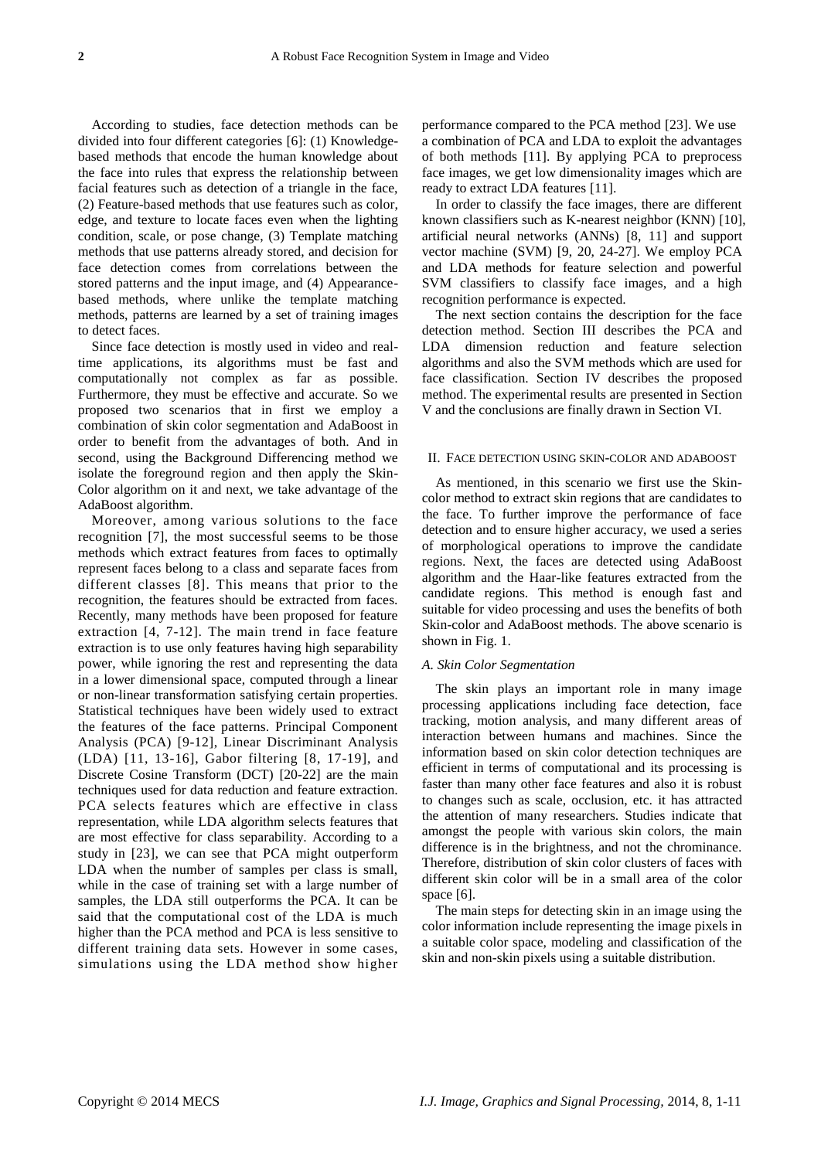According to studies, face detection methods can be divided into four different categories [6]: (1) Knowledgebased methods that encode the human knowledge about the face into rules that express the relationship between facial features such as detection of a triangle in the face, (2) Feature-based methods that use features such as color, edge, and texture to locate faces even when the lighting condition, scale, or pose change, (3) Template matching methods that use patterns already stored, and decision for face detection comes from correlations between the stored patterns and the input image, and (4) Appearancebased methods, where unlike the template matching methods, patterns are learned by a set of training images to detect faces.

Since face detection is mostly used in video and realtime applications, its algorithms must be fast and computationally not complex as far as possible. Furthermore, they must be effective and accurate. So we proposed two scenarios that in first we employ a combination of skin color segmentation and AdaBoost in order to benefit from the advantages of both. And in second, using the Background Differencing method we isolate the foreground region and then apply the Skin-Color algorithm on it and next, we take advantage of the AdaBoost algorithm.

Moreover, among various solutions to the face recognition [7], the most successful seems to be those methods which extract features from faces to optimally represent faces belong to a class and separate faces from different classes [8]. This means that prior to the recognition, the features should be extracted from faces. Recently, many methods have been proposed for feature extraction [4, 7-12]. The main trend in face feature extraction is to use only features having high separability power, while ignoring the rest and representing the data in a lower dimensional space, computed through a linear or non-linear transformation satisfying certain properties. Statistical techniques have been widely used to extract the features of the face patterns. Principal Component Analysis (PCA) [9-12], Linear Discriminant Analysis (LDA) [11, 13-16], Gabor filtering [8, 17-19], and Discrete Cosine Transform (DCT) [20-22] are the main techniques used for data reduction and feature extraction. PCA selects features which are effective in class representation, while LDA algorithm selects features that are most effective for class separability. According to a study in [23], we can see that PCA might outperform LDA when the number of samples per class is small, while in the case of training set with a large number of samples, the LDA still outperforms the PCA. It can be said that the computational cost of the LDA is much higher than the PCA method and PCA is less sensitive to different training data sets. However in some cases, simulations using the LDA method show higher

performance compared to the PCA method [23]. We use a combination of PCA and LDA to exploit the advantages of both methods [11]. By applying PCA to preprocess face images, we get low dimensionality images which are ready to extract LDA features [11].

In order to classify the face images, there are different known classifiers such as K-nearest neighbor (KNN) [10], artificial neural networks (ANNs) [8, 11] and support vector machine (SVM) [9, 20, 24-27]. We employ PCA and LDA methods for feature selection and powerful SVM classifiers to classify face images, and a high recognition performance is expected.

The next section contains the description for the face detection method. Section III describes the PCA and LDA dimension reduction and feature selection algorithms and also the SVM methods which are used for face classification. Section IV describes the proposed method. The experimental results are presented in Section V and the conclusions are finally drawn in Section VI.

## II. FACE DETECTION USING SKIN-COLOR AND ADABOOST

As mentioned, in this scenario we first use the Skincolor method to extract skin regions that are candidates to the face. To further improve the performance of face detection and to ensure higher accuracy, we used a series of morphological operations to improve the candidate regions. Next, the faces are detected using AdaBoost algorithm and the Haar-like features extracted from the candidate regions. This method is enough fast and suitable for video processing and uses the benefits of both Skin-color and AdaBoost methods. The above scenario is shown in Fig. 1.

## *A. Skin Color Segmentation*

The skin plays an important role in many image processing applications including face detection, face tracking, motion analysis, and many different areas of interaction between humans and machines. Since the information based on skin color detection techniques are efficient in terms of computational and its processing is faster than many other face features and also it is robust to changes such as scale, occlusion, etc. it has attracted the attention of many researchers. Studies indicate that amongst the people with various skin colors, the main difference is in the brightness, and not the chrominance. Therefore, distribution of skin color clusters of faces with different skin color will be in a small area of the color space [6].

The main steps for detecting skin in an image using the color information include representing the image pixels in a suitable color space, modeling and classification of the skin and non-skin pixels using a suitable distribution.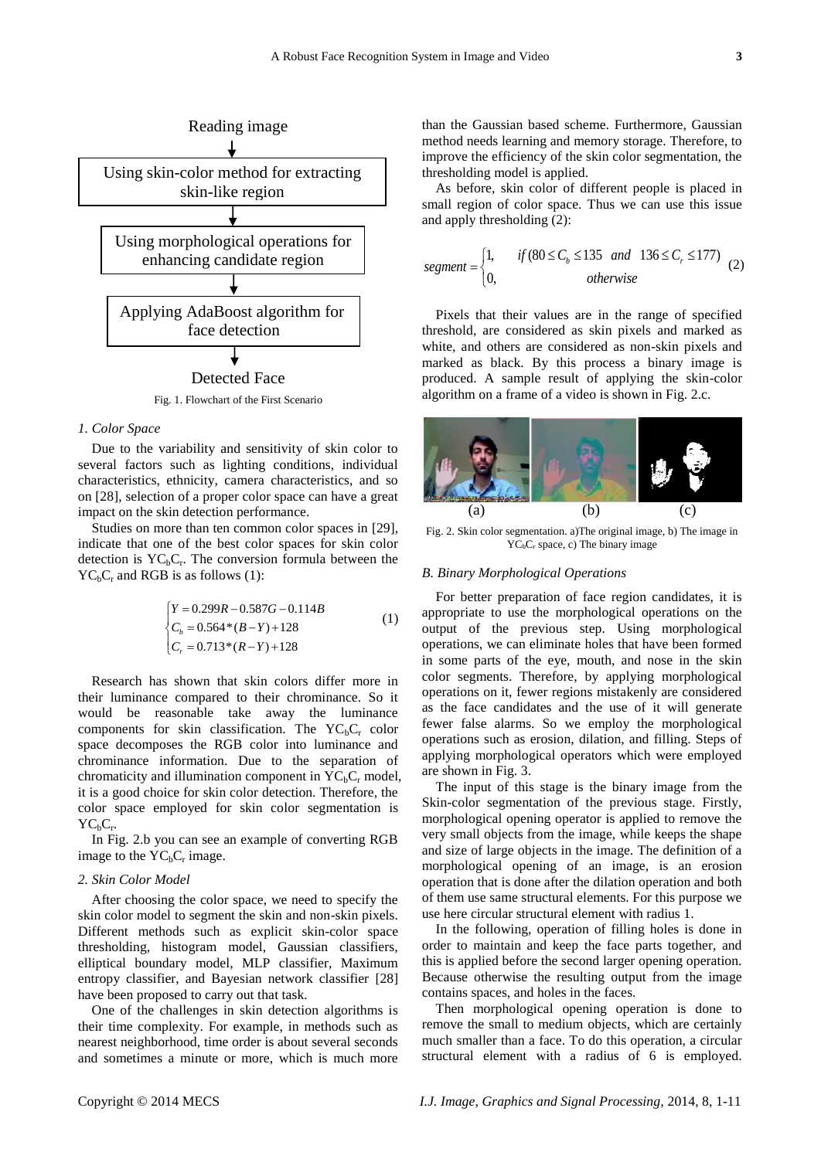

#### *1. Color Space*

Due to the variability and sensitivity of skin color to several factors such as lighting conditions, individual characteristics, ethnicity, camera characteristics, and so on [28], selection of a proper color space can have a great impact on the skin detection performance.

Studies on more than ten common color spaces in [29], indicate that one of the best color spaces for skin color detection is  $YC_bC_r$ . The conversion formula between the  $YC<sub>b</sub>C<sub>r</sub>$  and RGB is as follows (1):

$$
\begin{cases}\nY = 0.299R - 0.587G - 0.114B \\
C_b = 0.564 * (B - Y) + 128 \\
C_r = 0.713 * (R - Y) + 128\n\end{cases}
$$
\n(1)

Research has shown that skin colors differ more in their luminance compared to their chrominance. So it would be reasonable take away the luminance components for skin classification. The  $YC<sub>b</sub>C<sub>r</sub>$  color space decomposes the RGB color into luminance and chrominance information. Due to the separation of chromaticity and illumination component in  $YC<sub>b</sub>C<sub>r</sub>$  model, it is a good choice for skin color detection. Therefore, the color space employed for skin color segmentation is  $YC_bC_r$ .

In Fig. 2.b you can see an example of converting RGB image to the  $YC<sub>b</sub>C<sub>r</sub>$  image.

## *2. Skin Color Model*

After choosing the color space, we need to specify the skin color model to segment the skin and non-skin pixels. Different methods such as explicit skin-color space thresholding, histogram model, Gaussian classifiers, elliptical boundary model, MLP classifier, Maximum entropy classifier, and Bayesian network classifier [28] have been proposed to carry out that task.

One of the challenges in skin detection algorithms is their time complexity. For example, in methods such as nearest neighborhood, time order is about several seconds and sometimes a minute or more, which is much more than the Gaussian based scheme. Furthermore, Gaussian method needs learning and memory storage. Therefore, to improve the efficiency of the skin color segmentation, the thresholding model is applied.

As before, skin color of different people is placed in small region of color space. Thus we can use this issue and apply thresholding (2):

and apply thresholding (2):  
\n*segment* = 
$$
\begin{cases}\n1, & if (80 \le C_b \le 135 \text{ and } 136 \le C_r \le 177) \\
0, & otherwise\n\end{cases}
$$
\n(2)

Pixels that their values are in the range of specified threshold, are considered as skin pixels and marked as white, and others are considered as non-skin pixels and marked as black. By this process a binary image is produced. A sample result of applying the skin-color algorithm on a frame of a video is shown in Fig. 2.c.



Fig. 2. Skin color segmentation. a)The original image, b) The image in  $YC<sub>b</sub>C<sub>r</sub>$  space, c) The binary image

#### *B. Binary Morphological Operations*

For better preparation of face region candidates, it is appropriate to use the morphological operations on the output of the previous step. Using morphological operations, we can eliminate holes that have been formed in some parts of the eye, mouth, and nose in the skin color segments. Therefore, by applying morphological operations on it, fewer regions mistakenly are considered as the face candidates and the use of it will generate fewer false alarms. So we employ the morphological operations such as erosion, dilation, and filling. Steps of applying morphological operators which were employed are shown in Fig. 3.

The input of this stage is the binary image from the Skin-color segmentation of the previous stage. Firstly, morphological opening operator is applied to remove the very small objects from the image, while keeps the shape and size of large objects in the image. The definition of a morphological opening of an image, is an erosion operation that is done after the dilation operation and both of them use same structural elements. For this purpose we use here circular structural element with radius 1.

In the following, operation of filling holes is done in order to maintain and keep the face parts together, and this is applied before the second larger opening operation. Because otherwise the resulting output from the image contains spaces, and holes in the faces.

Then morphological opening operation is done to remove the small to medium objects, which are certainly much smaller than a face. To do this operation, a circular structural element with a radius of 6 is employed.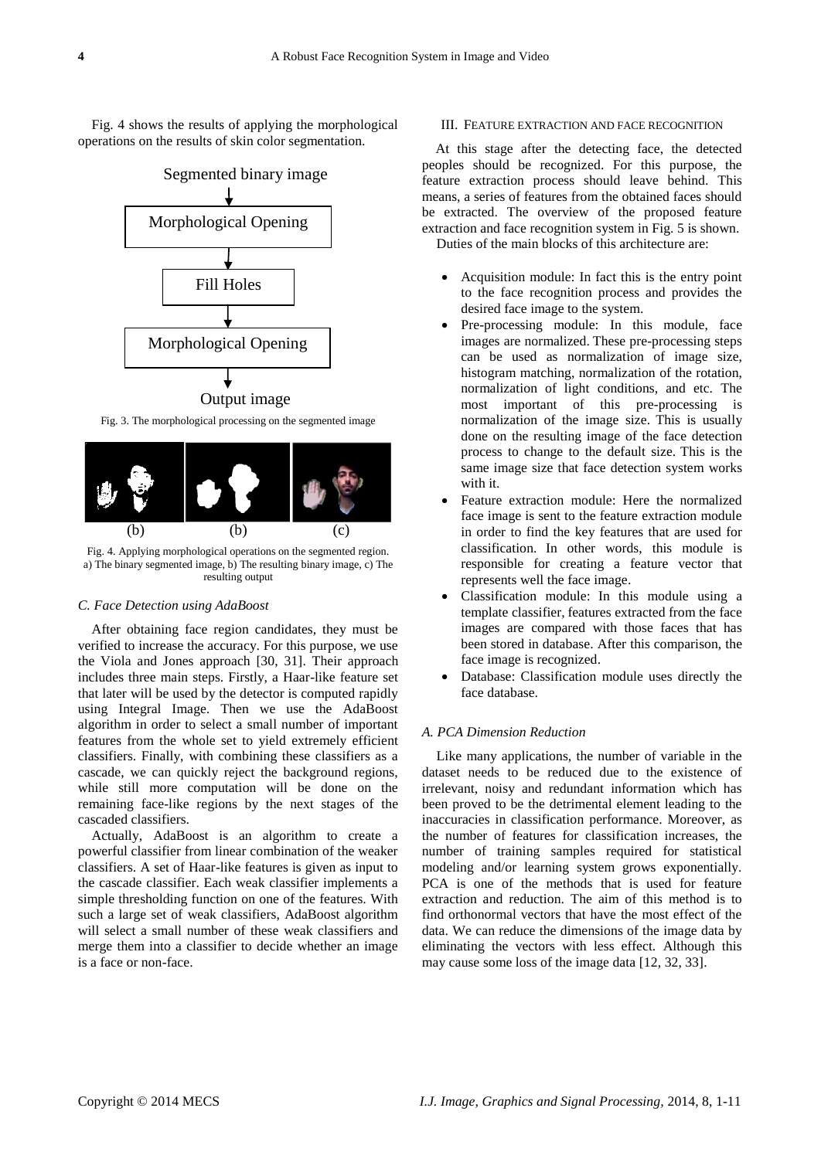Fig. 4 shows the results of applying the morphological operations on the results of skin color segmentation.



Fig. 3. The morphological processing on the segmented image



Fig. 4. Applying morphological operations on the segmented region. a) The binary segmented image, b) The resulting binary image, c) The resulting output

#### *C. Face Detection using AdaBoost*

After obtaining face region candidates, they must be verified to increase the accuracy. For this purpose, we use the Viola and Jones approach [30, 31]. Their approach includes three main steps. Firstly, a Haar-like feature set that later will be used by the detector is computed rapidly using Integral Image. Then we use the AdaBoost algorithm in order to select a small number of important features from the whole set to yield extremely efficient classifiers. Finally, with combining these classifiers as a cascade, we can quickly reject the background regions, while still more computation will be done on the remaining face-like regions by the next stages of the cascaded classifiers.

Actually, AdaBoost is an algorithm to create a powerful classifier from linear combination of the weaker classifiers. A set of Haar-like features is given as input to the cascade classifier. Each weak classifier implements a simple thresholding function on one of the features. With such a large set of weak classifiers, AdaBoost algorithm will select a small number of these weak classifiers and merge them into a classifier to decide whether an image is a face or non-face.

## III. FEATURE EXTRACTION AND FACE RECOGNITION

At this stage after the detecting face, the detected peoples should be recognized. For this purpose, the feature extraction process should leave behind. This means, a series of features from the obtained faces should be extracted. The overview of the proposed feature extraction and face recognition system in Fig. 5 is shown. Duties of the main blocks of this architecture are:

- Acquisition module: In fact this is the entry point to the face recognition process and provides the desired face image to the system.
- Pre-processing module: In this module, face images are normalized. These pre-processing steps can be used as normalization of image size, histogram matching, normalization of the rotation, normalization of light conditions, and etc. The most important of this pre-processing is normalization of the image size. This is usually done on the resulting image of the face detection process to change to the default size. This is the same image size that face detection system works with it.
- Feature extraction module: Here the normalized face image is sent to the feature extraction module in order to find the key features that are used for classification. In other words, this module is responsible for creating a feature vector that represents well the face image.
- Classification module: In this module using a template classifier, features extracted from the face images are compared with those faces that has been stored in database. After this comparison, the face image is recognized.
- Database: Classification module uses directly the face database.

## *A. PCA Dimension Reduction*

Like many applications, the number of variable in the dataset needs to be reduced due to the existence of irrelevant, noisy and redundant information which has been proved to be the detrimental element leading to the inaccuracies in classification performance. Moreover, as the number of features for classification increases, the number of training samples required for statistical modeling and/or learning system grows exponentially. PCA is one of the methods that is used for feature extraction and reduction. The aim of this method is to find orthonormal vectors that have the most effect of the data. We can reduce the dimensions of the image data by eliminating the vectors with less effect. Although this may cause some loss of the image data [12, 32, 33].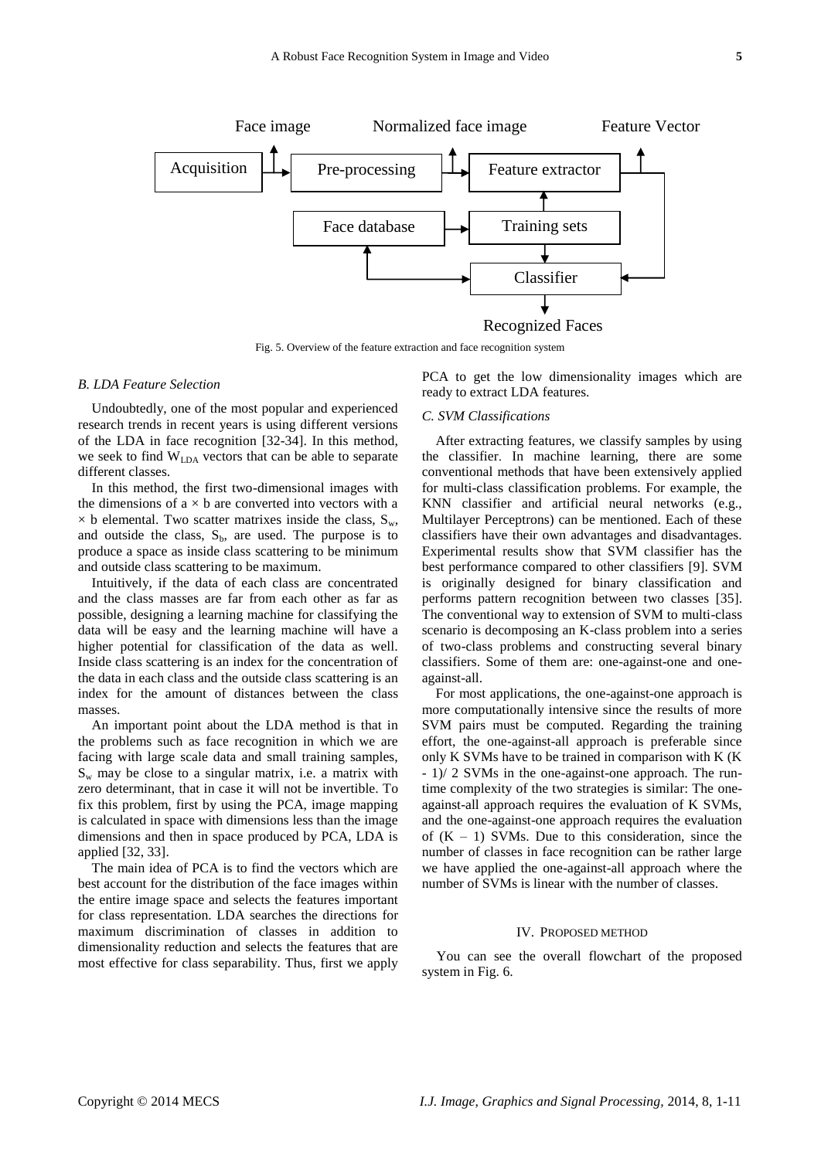

Fig. 5. Overview of the feature extraction and face recognition system

# *B. LDA Feature Selection*

Undoubtedly, one of the most popular and experienced research trends in recent years is using different versions of the LDA in face recognition [32-34]. In this method, we seek to find WLDA vectors that can be able to separate different classes.

In this method, the first two-dimensional images with the dimensions of  $a \times b$  are converted into vectors with a  $\times$  b elemental. Two scatter matrixes inside the class,  $S_w$ , and outside the class,  $S_b$ , are used. The purpose is to produce a space as inside class scattering to be minimum and outside class scattering to be maximum.

Intuitively, if the data of each class are concentrated and the class masses are far from each other as far as possible, designing a learning machine for classifying the data will be easy and the learning machine will have a higher potential for classification of the data as well. Inside class scattering is an index for the concentration of the data in each class and the outside class scattering is an index for the amount of distances between the class masses.

An important point about the LDA method is that in the problems such as face recognition in which we are facing with large scale data and small training samples,  $S_w$  may be close to a singular matrix, i.e. a matrix with zero determinant, that in case it will not be invertible. To fix this problem, first by using the PCA, image mapping is calculated in space with dimensions less than the image dimensions and then in space produced by PCA, LDA is applied [32, 33].

The main idea of PCA is to find the vectors which are best account for the distribution of the face images within the entire image space and selects the features important for class representation. LDA searches the directions for maximum discrimination of classes in addition to dimensionality reduction and selects the features that are most effective for class separability. Thus, first we apply PCA to get the low dimensionality images which are ready to extract LDA features.

## *C. SVM Classifications*

After extracting features, we classify samples by using the classifier. In machine learning, there are some conventional methods that have been extensively applied for multi-class classification problems. For example, the KNN classifier and artificial neural networks (e.g., Multilayer Perceptrons) can be mentioned. Each of these classifiers have their own advantages and disadvantages. Experimental results show that SVM classifier has the best performance compared to other classifiers [9]. SVM is originally designed for binary classification and performs pattern recognition between two classes [35]. The conventional way to extension of SVM to multi-class scenario is decomposing an K-class problem into a series of two-class problems and constructing several binary classifiers. Some of them are: one-against-one and oneagainst-all.

For most applications, the one-against-one approach is more computationally intensive since the results of more SVM pairs must be computed. Regarding the training effort, the one-against-all approach is preferable since only K SVMs have to be trained in comparison with K (K - 1)/ 2 SVMs in the one-against-one approach. The runtime complexity of the two strategies is similar: The oneagainst-all approach requires the evaluation of K SVMs, and the one-against-one approach requires the evaluation of  $(K - 1)$  SVMs. Due to this consideration, since the number of classes in face recognition can be rather large we have applied the one-against-all approach where the number of SVMs is linear with the number of classes.

#### IV. PROPOSED METHOD

You can see the overall flowchart of the proposed system in Fig. 6.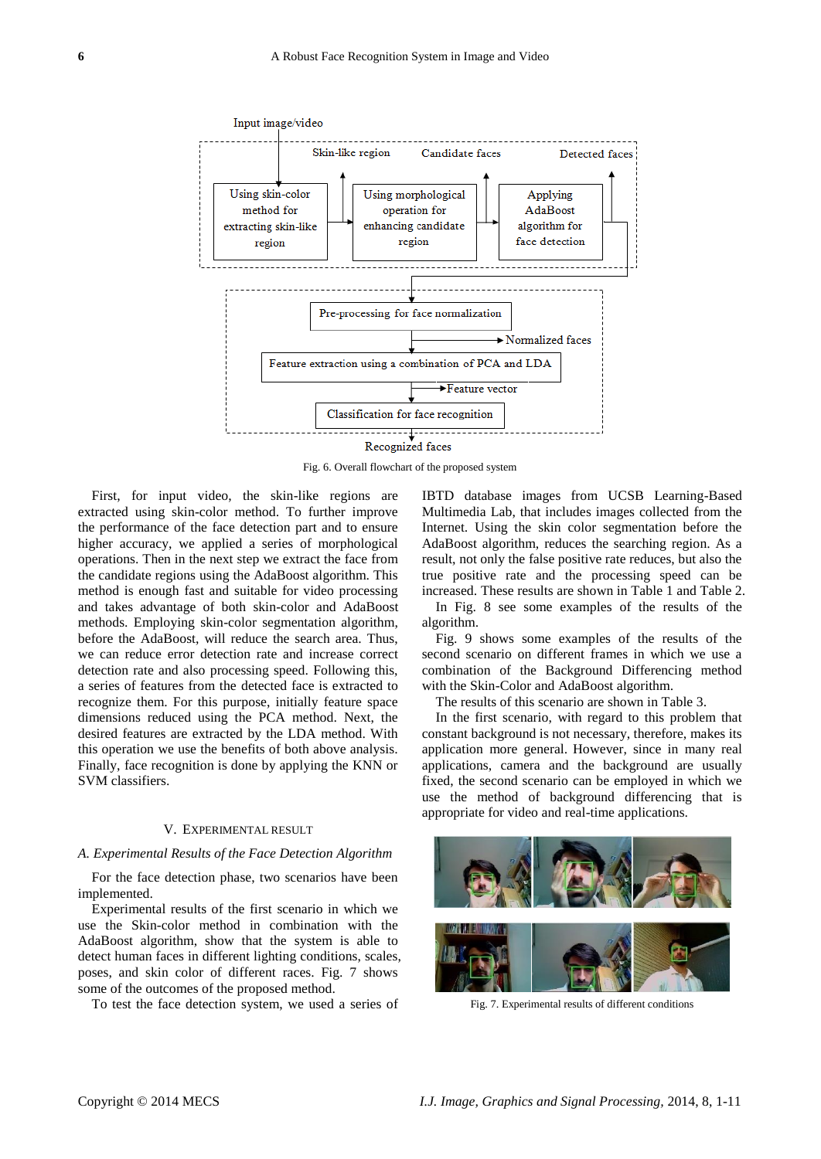

Fig. 6. Overall flowchart of the proposed system

First, for input video, the skin-like regions are extracted using skin-color method. To further improve the performance of the face detection part and to ensure higher accuracy, we applied a series of morphological operations. Then in the next step we extract the face from the candidate regions using the AdaBoost algorithm. This method is enough fast and suitable for video processing and takes advantage of both skin-color and AdaBoost methods. Employing skin-color segmentation algorithm, before the AdaBoost, will reduce the search area. Thus, we can reduce error detection rate and increase correct detection rate and also processing speed. Following this, a series of features from the detected face is extracted to recognize them. For this purpose, initially feature space dimensions reduced using the PCA method. Next, the desired features are extracted by the LDA method. With this operation we use the benefits of both above analysis. Finally, face recognition is done by applying the KNN or SVM classifiers.

#### V. EXPERIMENTAL RESULT

#### *A. Experimental Results of the Face Detection Algorithm*

For the face detection phase, two scenarios have been implemented.

Experimental results of the first scenario in which we use the Skin-color method in combination with the AdaBoost algorithm, show that the system is able to detect human faces in different lighting conditions, scales, poses, and skin color of different races. Fig. 7 shows some of the outcomes of the proposed method.

To test the face detection system, we used a series of

IBTD database images from UCSB Learning-Based Multimedia Lab, that includes images collected from the Internet. Using the skin color segmentation before the AdaBoost algorithm, reduces the searching region. As a result, not only the false positive rate reduces, but also the true positive rate and the processing speed can be increased. These results are shown in Table 1 and Table 2.

In Fig. 8 see some examples of the results of the algorithm.

Fig. 9 shows some examples of the results of the second scenario on different frames in which we use a combination of the Background Differencing method with the Skin-Color and AdaBoost algorithm.

The results of this scenario are shown in Table 3.

In the first scenario, with regard to this problem that constant background is not necessary, therefore, makes its application more general. However, since in many real applications, camera and the background are usually fixed, the second scenario can be employed in which we use the method of background differencing that is appropriate for video and real-time applications.



Fig. 7. Experimental results of different conditions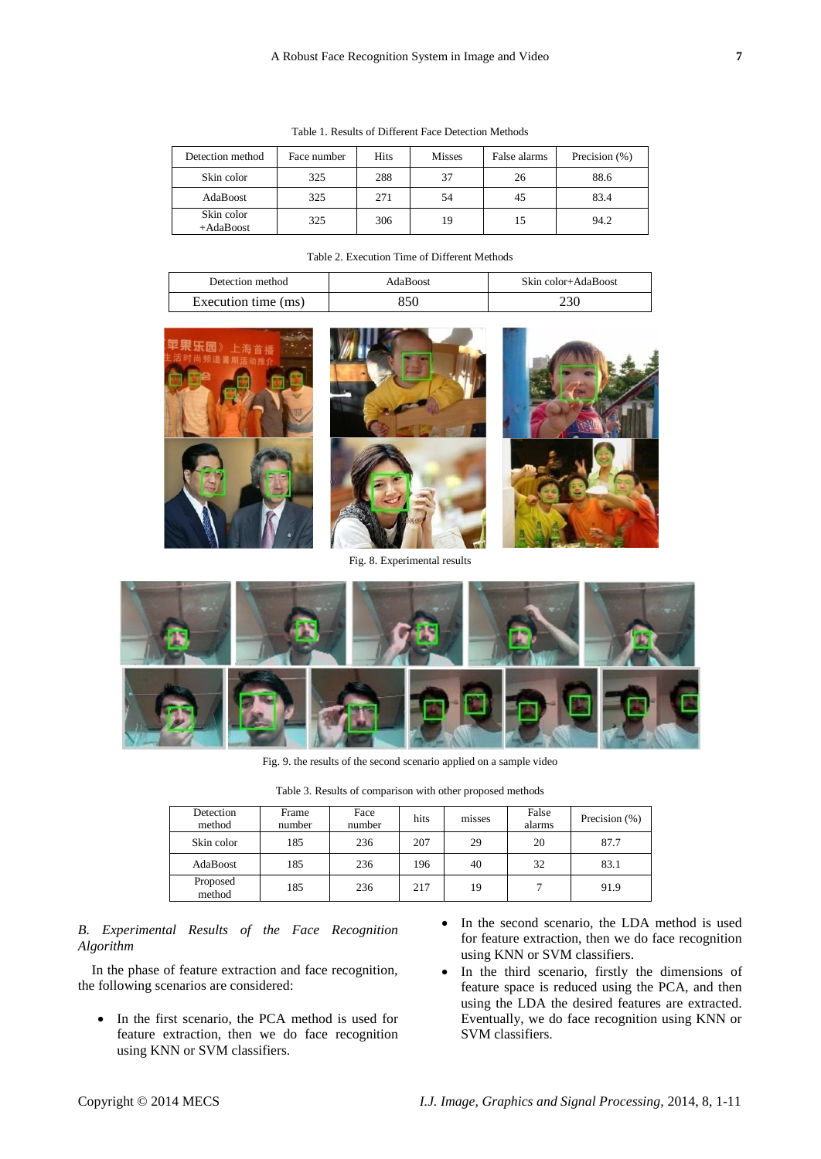| Detection method          | Face number | <b>Hits</b> | <b>Misses</b> | False alarms | Precision (%) |
|---------------------------|-------------|-------------|---------------|--------------|---------------|
| Skin color                | 325         | 288         | 37            | 26           | 88.6          |
| AdaBoost                  | 325         | 271         | 54            | 45           | 83.4          |
| Skin color<br>$+AdaBoost$ | 325         | 306         | 19            | 15           | 94.2          |

Table 1. Results of Different Face Detection Methods

| Detection method    | AdaBoost | Skin color+AdaBoost |
|---------------------|----------|---------------------|
| Execution time (ms) |          |                     |



Fig. 8. Experimental results



Fig. 9. the results of the second scenario applied on a sample video

|  |  |  |  | Table 3. Results of comparison with other proposed methods |  |  |  |  |
|--|--|--|--|------------------------------------------------------------|--|--|--|--|
|--|--|--|--|------------------------------------------------------------|--|--|--|--|

| Detection<br>method | Frame<br>number | Face<br>number | hits | misses | False<br>alarms | Precision (%) |
|---------------------|-----------------|----------------|------|--------|-----------------|---------------|
| Skin color          | 185             | 236            | 207  | 29     | 20              | 87.7          |
| AdaBoost            | 185             | 236            | 196  | 40     | 32              | 83.1          |
| Proposed<br>method  | 185             | 236            | 217  | 19     |                 | 91.9          |

# *B. Experimental Results of the Face Recognition Algorithm*

In the phase of feature extraction and face recognition, the following scenarios are considered:

- In the first scenario, the PCA method is used for feature extraction, then we do face recognition using KNN or SVM classifiers.
- In the second scenario, the LDA method is used for feature extraction, then we do face recognition using KNN or SVM classifiers.
- In the third scenario, firstly the dimensions of feature space is reduced using the PCA, and then using the LDA the desired features are extracted. Eventually, we do face recognition using KNN or SVM classifiers.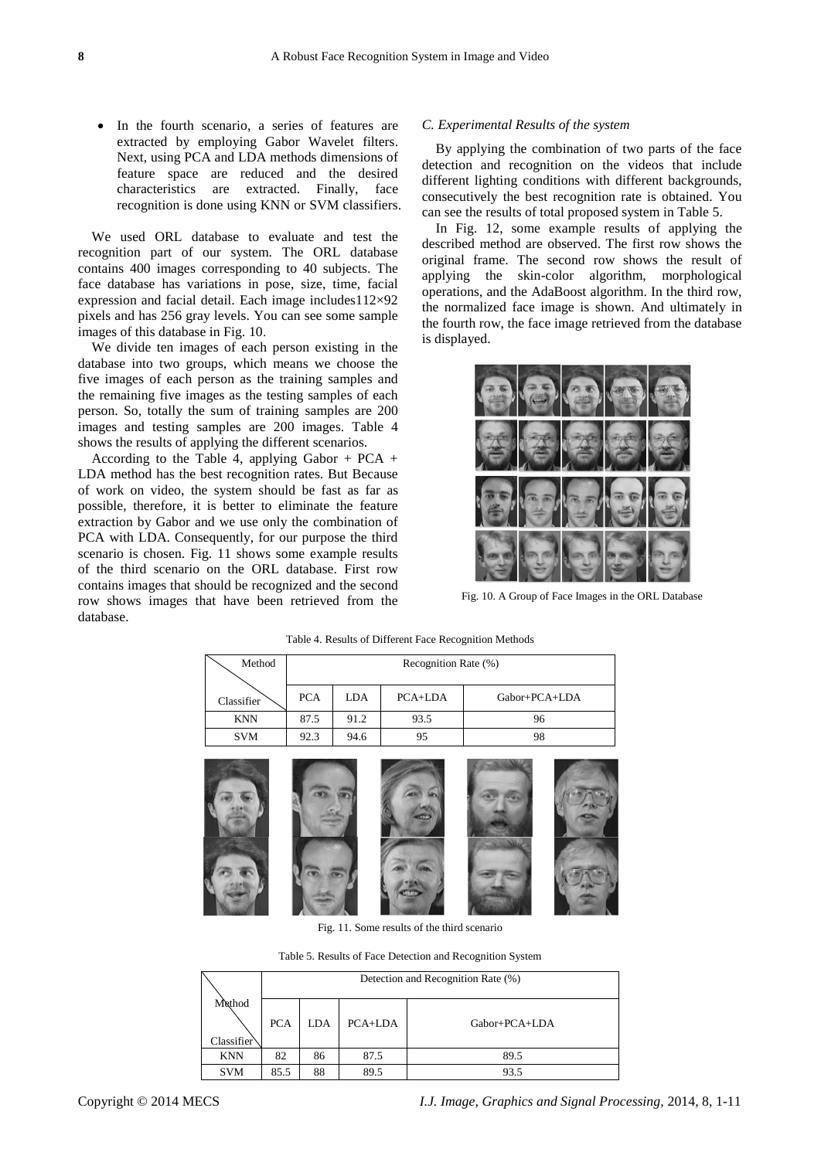In the fourth scenario, a series of features are extracted by employing Gabor Wavelet filters. Next, using PCA and LDA methods dimensions of feature space are reduced and the desired characteristics are extracted. Finally, face recognition is done using KNN or SVM classifiers.

We used ORL database to evaluate and test the recognition part of our system. The ORL database contains 400 images corresponding to 40 subjects. The face database has variations in pose, size, time, facial expression and facial detail. Each image includes  $112\times92$ pixels and has 256 gray levels. You can see some sample images of this database in Fig. 10.

We divide ten images of each person existing in the database into two groups, which means we choose the five images of each person as the training samples and the remaining five images as the testing samples of each person. So, totally the sum of training samples are 200 images and testing samples are 200 images. Table 4 shows the results of applying the different scenarios.

According to the Table 4, applying Gabor + PCA + LDA method has the best recognition rates. But Because of work on video, the system should be fast as far as possible, therefore, it is better to eliminate the feature extraction by Gabor and we use only the combination of PCA with LDA. Consequently, for our purpose the third scenario is chosen. Fig. 11 shows some example results of the third scenario on the ORL database. First row contains images that should be recognized and the second row shows images that have been retrieved from the database.

### *C. Experimental Results of the system*

By applying the combination of two parts of the face detection and recognition on the videos that include different lighting conditions with different backgrounds, consecutively the best recognition rate is obtained. You can see the results of total proposed system in Table 5.

In Fig. 12, some example results of applying the described method are observed. The first row shows the original frame. The second row shows the result of applying the skin-color algorithm, morphological operations, and the AdaBoost algorithm. In the third row, the normalized face image is shown. And ultimately in the fourth row, the face image retrieved from the database is displayed.



Fig. 10. A Group of Face Images in the ORL Database

| Method     | Recognition Rate (%) |            |           |                 |  |  |
|------------|----------------------|------------|-----------|-----------------|--|--|
|            |                      |            |           |                 |  |  |
| Classifier | <b>PCA</b>           | <b>LDA</b> | $PCA+LDA$ | $Gabor+PCA+LDA$ |  |  |
| <b>KNN</b> | 87.5                 | 91.2       | 93.5      | 96              |  |  |
| <b>SVM</b> | 92.3                 | 94.6       | 95        | 98              |  |  |
|            |                      |            |           |                 |  |  |

Table 4. Results of Different Face Recognition Methods



Fig. 11. Some results of the third scenario

Table 5. Results of Face Detection and Recognition System

|                      | Detection and Recognition Rate (%) |     |         |                 |  |  |  |
|----------------------|------------------------------------|-----|---------|-----------------|--|--|--|
| Method<br>Classifier | <b>PCA</b>                         | LDA | PCA+LDA | $Gabor+PCA+LDA$ |  |  |  |
| <b>KNN</b>           | 82                                 | 86  | 87.5    | 89.5            |  |  |  |
| <b>SVM</b>           | 85.5                               | 88  | 89.5    | 93.5            |  |  |  |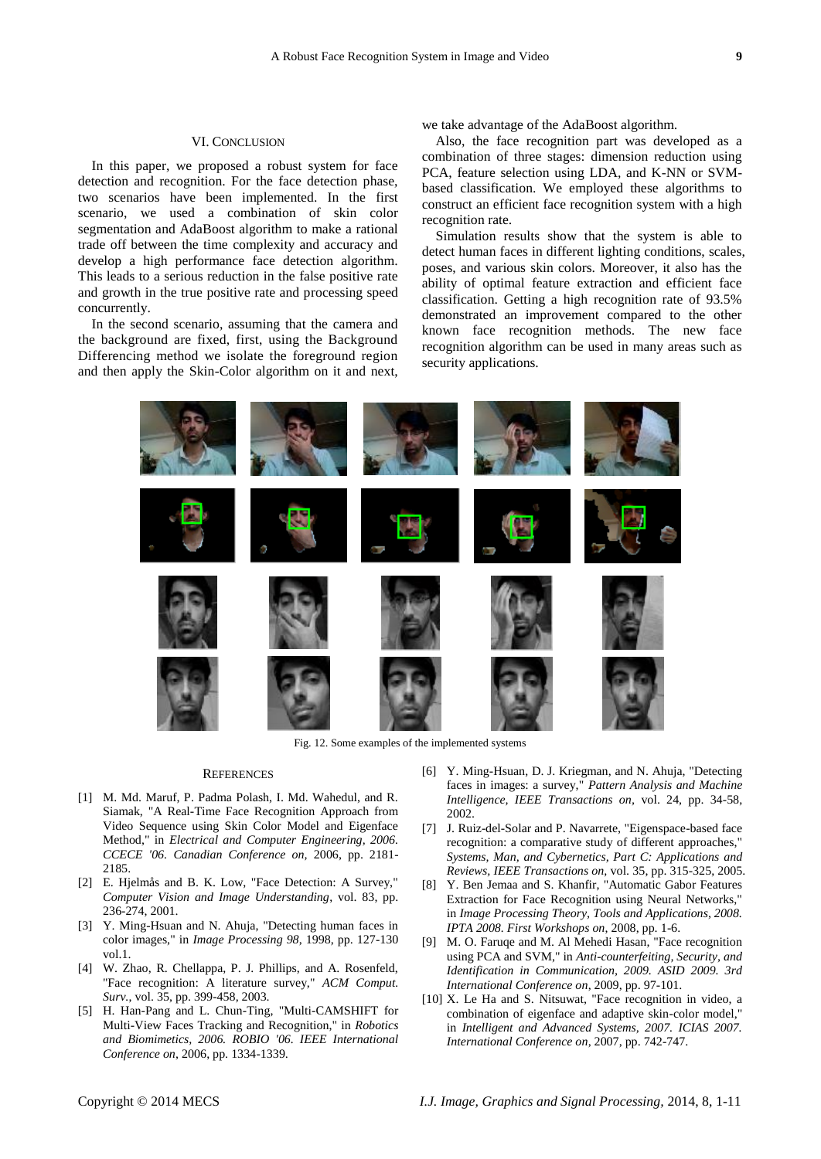## VI. CONCLUSION

In this paper, we proposed a robust system for face detection and recognition. For the face detection phase, two scenarios have been implemented. In the first scenario, we used a combination of skin color segmentation and AdaBoost algorithm to make a rational trade off between the time complexity and accuracy and develop a high performance face detection algorithm. This leads to a serious reduction in the false positive rate and growth in the true positive rate and processing speed concurrently.

In the second scenario, assuming that the camera and the background are fixed, first, using the Background Differencing method we isolate the foreground region and then apply the Skin-Color algorithm on it and next, we take advantage of the AdaBoost algorithm.

Also, the face recognition part was developed as a combination of three stages: dimension reduction using PCA, feature selection using LDA, and K-NN or SVMbased classification. We employed these algorithms to construct an efficient face recognition system with a high recognition rate.

Simulation results show that the system is able to detect human faces in different lighting conditions, scales, poses, and various skin colors. Moreover, it also has the ability of optimal feature extraction and efficient face classification. Getting a high recognition rate of 93.5% demonstrated an improvement compared to the other known face recognition methods. The new face recognition algorithm can be used in many areas such as security applications.



Fig. 12. Some examples of the implemented systems

#### **REFERENCES**

- [1] M. Md. Maruf, P. Padma Polash, I. Md. Wahedul, and R. Siamak, "A Real-Time Face Recognition Approach from Video Sequence using Skin Color Model and Eigenface Method," in *Electrical and Computer Engineering, 2006. CCECE '06. Canadian Conference on,* 2006, pp. 2181- 2185.
- [2] E. Hjelmås and B. K. Low, "Face Detection: A Survey," *Computer Vision and Image Understanding*, vol. 83, pp. 236-274, 2001.
- [3] Y. Ming-Hsuan and N. Ahuja, "Detecting human faces in color images," in *Image Processing 98*, 1998, pp. 127-130 vol.1.
- [4] W. Zhao, R. Chellappa, P. J. Phillips, and A. Rosenfeld, "Face recognition: A literature survey," *ACM Comput. Surv.*, vol. 35, pp. 399-458, 2003.
- [5] H. Han-Pang and L. Chun-Ting, "Multi-CAMSHIFT for Multi-View Faces Tracking and Recognition," in *Robotics and Biomimetics, 2006. ROBIO '06. IEEE International Conference on*, 2006, pp. 1334-1339.
- [6] Y. Ming-Hsuan, D. J. Kriegman, and N. Ahuja, "Detecting faces in images: a survey," *Pattern Analysis and Machine Intelligence, IEEE Transactions on,* vol. 24, pp. 34-58, 2002.
- [7] J. Ruiz-del-Solar and P. Navarrete, "Eigenspace-based face recognition: a comparative study of different approaches," *Systems, Man, and Cybernetics, Part C: Applications and Reviews, IEEE Transactions on,* vol. 35, pp. 315-325, 2005.
- [8] Y. Ben Jemaa and S. Khanfir, "Automatic Gabor Features Extraction for Face Recognition using Neural Networks," in *Image Processing Theory, Tools and Applications, 2008. IPTA 2008. First Workshops on*, 2008, pp. 1-6.
- [9] M. O. Faruqe and M. Al Mehedi Hasan, "Face recognition using PCA and SVM," in *Anti-counterfeiting, Security, and Identification in Communication, 2009. ASID 2009. 3rd International Conference on*, 2009, pp. 97-101.
- [10] X. Le Ha and S. Nitsuwat, "Face recognition in video, a combination of eigenface and adaptive skin-color model," in *Intelligent and Advanced Systems, 2007. ICIAS 2007. International Conference on*, 2007, pp. 742-747.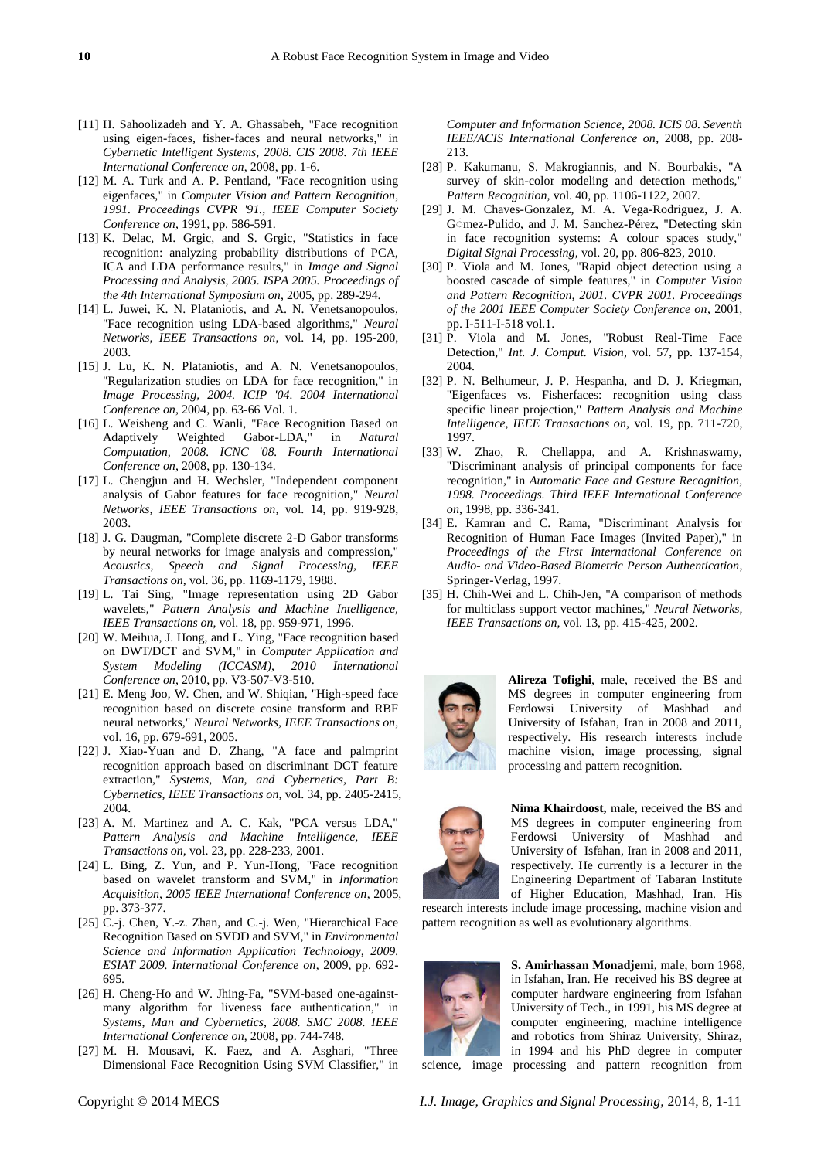- [11] H. Sahoolizadeh and Y. A. Ghassabeh, "Face recognition using eigen-faces, fisher-faces and neural networks," in *Cybernetic Intelligent Systems, 2008. CIS 2008. 7th IEEE International Conference on*, 2008, pp. 1-6.
- [12] M. A. Turk and A. P. Pentland, "Face recognition using eigenfaces," in *Computer Vision and Pattern Recognition, 1991. Proceedings CVPR '91., IEEE Computer Society Conference on*, 1991, pp. 586-591.
- [13] K. Delac, M. Grgic, and S. Grgic, "Statistics in face recognition: analyzing probability distributions of PCA, ICA and LDA performance results," in *Image and Signal Processing and Analysis, 2005. ISPA 2005. Proceedings of the 4th International Symposium on*, 2005, pp. 289-294.
- [14] L. Juwei, K. N. Plataniotis, and A. N. Venetsanopoulos, "Face recognition using LDA-based algorithms," *Neural Networks, IEEE Transactions on,* vol. 14, pp. 195-200, 2003.
- [15] J. Lu, K. N. Plataniotis, and A. N. Venetsanopoulos, "Regularization studies on LDA for face recognition," in *Image Processing, 2004. ICIP '04. 2004 International Conference on*, 2004, pp. 63-66 Vol. 1.
- [16] L. Weisheng and C. Wanli, "Face Recognition Based on Adaptively Weighted Gabor-LDA," in *Natural Computation, 2008. ICNC '08. Fourth International Conference on*, 2008, pp. 130-134.
- [17] L. Chengjun and H. Wechsler, "Independent component analysis of Gabor features for face recognition," *Neural Networks, IEEE Transactions on,* vol. 14, pp. 919-928, 2003.
- [18] J. G. Daugman, "Complete discrete 2-D Gabor transforms by neural networks for image analysis and compression," *Acoustics, Speech and Signal Processing, IEEE Transactions on,* vol. 36, pp. 1169-1179, 1988.
- [19] L. Tai Sing, "Image representation using 2D Gabor wavelets," *Pattern Analysis and Machine Intelligence, IEEE Transactions on,* vol. 18, pp. 959-971, 1996.
- [20] W. Meihua, J. Hong, and L. Ying, "Face recognition based on DWT/DCT and SVM," in *Computer Application and System Modeling (ICCASM), 2010 International Conference on*, 2010, pp. V3-507-V3-510.
- [21] E. Meng Joo, W. Chen, and W. Shiqian, "High-speed face recognition based on discrete cosine transform and RBF neural networks," *Neural Networks, IEEE Transactions on,*  vol. 16, pp. 679-691, 2005.
- [22] J. Xiao-Yuan and D. Zhang, "A face and palmprint recognition approach based on discriminant DCT feature extraction," *Systems, Man, and Cybernetics, Part B: Cybernetics, IEEE Transactions on,* vol. 34, pp. 2405-2415, 2004.
- [23] A. M. Martinez and A. C. Kak, "PCA versus LDA," *Pattern Analysis and Machine Intelligence, IEEE Transactions on,* vol. 23, pp. 228-233, 2001.
- [24] L. Bing, Z. Yun, and P. Yun-Hong, "Face recognition based on wavelet transform and SVM," in *Information Acquisition, 2005 IEEE International Conference on*, 2005, pp. 373-377.
- [25] C.-j. Chen, Y.-z. Zhan, and C.-j. Wen, "Hierarchical Face Recognition Based on SVDD and SVM," in *Environmental Science and Information Application Technology, 2009. ESIAT 2009. International Conference on*, 2009, pp. 692- 695.
- [26] H. Cheng-Ho and W. Jhing-Fa, "SVM-based one-againstmany algorithm for liveness face authentication," in *Systems, Man and Cybernetics, 2008. SMC 2008. IEEE International Conference on*, 2008, pp. 744-748.
- [27] M. H. Mousavi, K. Faez, and A. Asghari, "Three Dimensional Face Recognition Using SVM Classifier," in

- *Computer and Information Science, 2008. ICIS 08. Seventh IEEE/ACIS International Conference on*, 2008, pp. 208- 213.
- [28] P. Kakumanu, S. Makrogiannis, and N. Bourbakis, "A survey of skin-color modeling and detection methods," *Pattern Recognition,* vol. 40, pp. 1106-1122, 2007.
- [29] J. M. Chaves-Gonzalez, M. A. Vega-Rodriguez, J. A. G<sup>omez-Pulido, and J.</sup> M. Sanchez-Pérez, "Detecting skin in face recognition systems: A colour spaces study," *Digital Signal Processing,* vol. 20, pp. 806-823, 2010.
- [30] P. Viola and M. Jones, "Rapid object detection using a boosted cascade of simple features," in *Computer Vision and Pattern Recognition, 2001. CVPR 2001. Proceedings of the 2001 IEEE Computer Society Conference on*, 2001, pp. I-511-I-518 vol.1.
- [31] P. Viola and M. Jones, "Robust Real-Time Face Detection," *Int. J. Comput. Vision,* vol. 57, pp. 137-154, 2004.
- [32] P. N. Belhumeur, J. P. Hespanha, and D. J. Kriegman, "Eigenfaces vs. Fisherfaces: recognition using class specific linear projection," *Pattern Analysis and Machine Intelligence, IEEE Transactions on,* vol. 19, pp. 711-720, 1997.
- [33] W. Zhao, R. Chellappa, and A. Krishnaswamy, "Discriminant analysis of principal components for face recognition," in *Automatic Face and Gesture Recognition, 1998. Proceedings. Third IEEE International Conference on*, 1998, pp. 336-341.
- [34] E. Kamran and C. Rama, "Discriminant Analysis for Recognition of Human Face Images (Invited Paper)," in *Proceedings of the First International Conference on Audio- and Video-Based Biometric Person Authentication*, Springer-Verlag, 1997.
- [35] H. Chih-Wei and L. Chih-Jen, "A comparison of methods for multiclass support vector machines," *Neural Networks, IEEE Transactions on,* vol. 13, pp. 415-425, 2002.



**Alireza Tofighi**, male, received the BS and MS degrees in computer engineering from Ferdowsi University of Mashhad and University of Isfahan, Iran in 2008 and 2011, respectively. His research interests include machine vision, image processing, signal processing and pattern recognition.



**Nima Khairdoost,** male, received the BS and MS degrees in computer engineering from Ferdowsi University of Mashhad and University of Isfahan, Iran in 2008 and 2011, respectively. He currently is a lecturer in the Engineering Department of Tabaran Institute of Higher Education, Mashhad, Iran. His

research interests include image processing, machine vision and pattern recognition as well as evolutionary algorithms.



**S. Amirhassan Monadjemi**, male, born 1968, in Isfahan, Iran. He received his BS degree at computer hardware engineering from Isfahan University of Tech., in 1991, his MS degree at computer engineering, machine intelligence and robotics from Shiraz University, Shiraz, in 1994 and his PhD degree in computer science, image processing and pattern recognition from